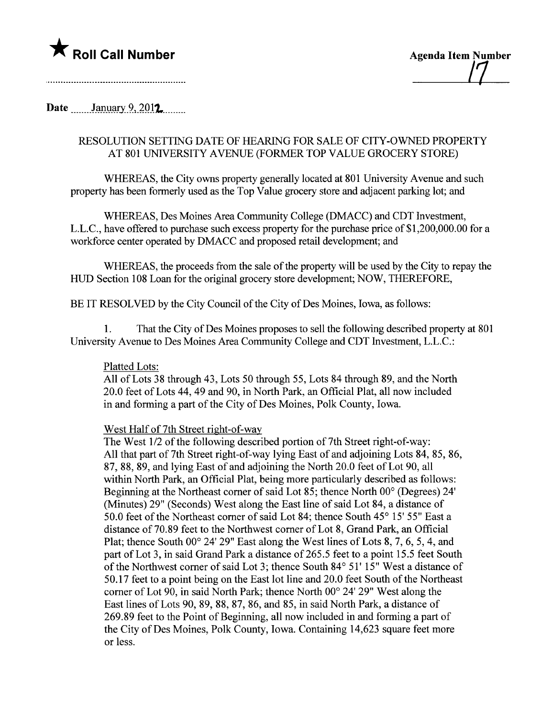

/7

Date  $\frac{\text{January } 9, 2012}{\text{?}}$ 

## RESOLUTION SETTING DATE OF HEARG FOR SALE OF CITY-OWNED PROPERTY AT 801 UNIVERSITY AVENUE (FORMER TOP VALUE GROCERY STORE)

WHEREAS, the City owns property generally located at 801 University Avenue and such property has been formerly used as the Top Value grocery store and adjacent parking lot; and

WHEREAS, Des Moines Area Communty College (DMACC) and CDT Investment, L.L.C., have offered to purchase such excess property for the purchase price of \$1,200,000.00 for a workforce center operated by DMACC and proposed retail development; and

WHEREAS, the proceeds from the sale of the property will be used by the City to repay the HUD Section 108 Loan for the original grocery store development; NOW, THEREFORE,

BE IT RESOLVED by the City Council of the City of Des Moines, Iowa, as follows:

1. That the City of Des Moines proposes to sell the following described property at 801 University Avenue to Des Moines Area Community College and CDT Investment, L.L.C.:

## Platted Lots:

All of Lots 38 through 43, Lots 50 through 55, Lots 84 through 89, and the North 20.0 feet of Lots 44, 49 and 90, in North Park, an Official Plat, all now included in and forming a part of the City of Des Moines, Polk County, Iowa.

## West Half of 7th Street right-of-way

The West 1/2 of the following described portion of 7th Street right-of-way: All that part of 7th Street right-of-way lying East of and adjoining Lots 84, 85, 86, 87,88,89, and lying East of and adjoining the North 20.0 feet of Lot 90, all within North Park, an Official Plat, being more particularly described as follows: Beginning at the Northeast comer of said Lot 85; thence North 00° (Degrees) 24' (Minutes) 29" (Seconds) West along the East line of said Lot 84, a distance of 50.0 feet of the Northeast corner of said Lot 84; thence South  $45^{\circ}$  15' 55" East a distance of 70.89 feet to the Northwest comer of Lot 8, Grand Park, an Official Plat; thence South 00° 24' 29" East along the West lines of Lots 8, 7, 6, 5, 4, and part of Lot 3, in said Grand Park a distance of 265.5 feet to a point 15.5 feet South of the Northwest comer of said Lot 3; thence South 84° 51' 15" West a distance of 50.17 feet to a point being on the East lot line and 20.0 feet South of the Northeast comer of Lot 90, in said North Park; thence North 00° 24' 29" West along the East lines of Lots 90, 89, 88, 87, 86, and 85, in said North Park, a distance of 269.89 feet to the Point of Beginning, all now included in and forming a part of the City of Des Moines, Polk County, Iowa. Containing 14,623 square feet more or less.